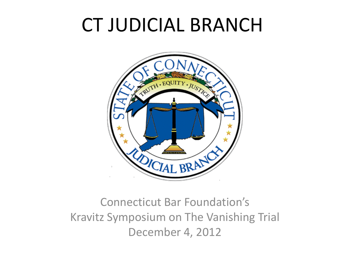# CT JUDICIAL BRANCH



### Connecticut Bar Foundation's Kravitz Symposium on The Vanishing Trial December 4, 2012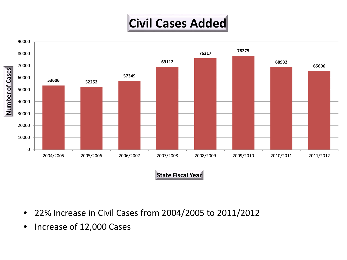## **Civil Cases Added**



**State Fiscal Year**

- 22% Increase in Civil Cases from 2004/2005 to 2011/2012
- Increase of 12,000 Cases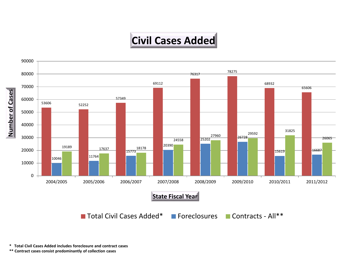### **Civil Cases Added**



**\*\* Contract cases consist predominantly of collection cases**

**<sup>\*</sup> Total Civil Cases Added includes foreclosure and contract cases**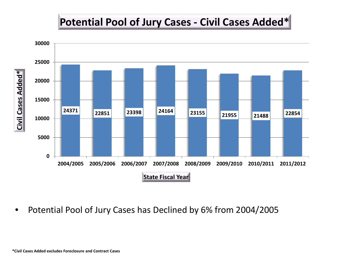#### **Potential Pool of Jury Cases - Civil Cases Added\***



• Potential Pool of Jury Cases has Declined by 6% from 2004/2005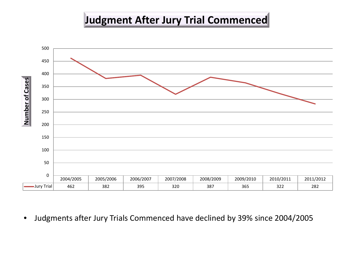#### **Judgment After Jury Trial Commenced**



• Judgments after Jury Trials Commenced have declined by 39% since 2004/2005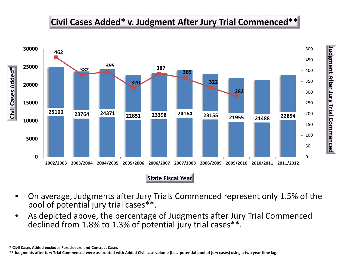#### **Civil Cases Added\* v. Judgment After Jury Trial Commenced\*\***

**Judgment After Jury Trial** 

Judgment After Jury Trial Commenced

**Commenced**

![](_page_5_Figure_1.jpeg)

**State Fiscal Year**

- On average, Judgments after Jury Trials Commenced represent only 1.5% of the pool of potential jury trial cases\*\*.
- As depicted above, the percentage of Judgments after Jury Trial Commenced declined from 1.8% to 1.3% of potential jury trial cases\*\*.

**<sup>\*</sup> Civil Cases Added excludes Foreclosure and Contract Cases**

**<sup>\*\*</sup> Judgments after Jury Trial Commenced were associated with Added Civil case volume (i.e., potential pool of jury cases) using a two year time lag.**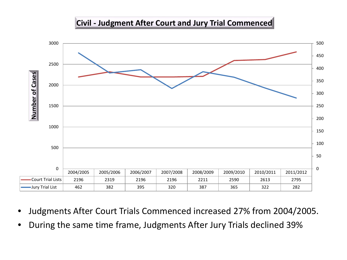#### **Civil - Judgment After Court and Jury Trial Commenced**

![](_page_6_Figure_1.jpeg)

- Judgments After Court Trials Commenced increased 27% from 2004/2005.
- During the same time frame, Judgments After Jury Trials declined 39%